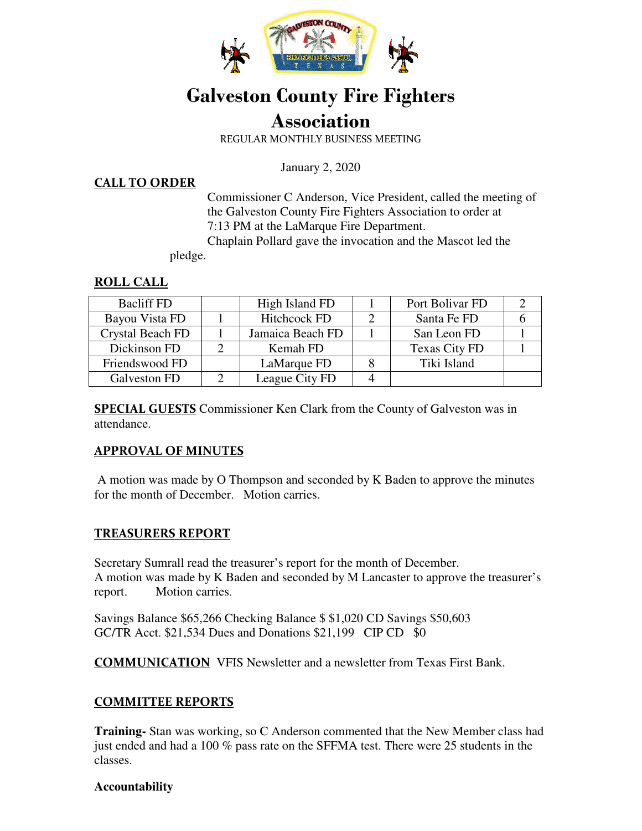

# **Galveston County Fire Fighters**

## **Association**

REGULAR MONTHLY BUSINESS MEETING

January 2, 2020

#### **CALL TO ORDER**

Commissioner C Anderson, Vice President, called the meeting of the Galveston County Fire Fighters Association to order at 7:13 PM at the LaMarque Fire Department.

Chaplain Pollard gave the invocation and the Mascot led the

pledge.

#### **ROLL CALL**

| <b>Bacliff FD</b>       | High Island FD      | Port Bolivar FD |  |
|-------------------------|---------------------|-----------------|--|
| Bayou Vista FD          | <b>Hitchcock FD</b> | Santa Fe FD     |  |
| <b>Crystal Beach FD</b> | Jamaica Beach FD    | San Leon FD     |  |
| Dickinson FD            | Kemah FD            | Texas City FD   |  |
| Friendswood FD          | LaMarque FD         | Tiki Island     |  |
| Galveston FD            | League City FD      |                 |  |

**SPECIAL GUESTS** Commissioner Ken Clark from the County of Galveston was in attendance.

#### **APPROVAL OF MINUTES**

 A motion was made by O Thompson and seconded by K Baden to approve the minutes for the month of December. Motion carries.

#### **TREASURERS REPORT**

Secretary Sumrall read the treasurer's report for the month of December. A motion was made by K Baden and seconded by M Lancaster to approve the treasurer's report. Motion carries.

Savings Balance \$65,266 Checking Balance \$ \$1,020 CD Savings \$50,603 GC/TR Acct. \$21,534 Dues and Donations \$21,199 CIP CD \$0

**COMMUNICATION** VFIS Newsletter and a newsletter from Texas First Bank.

#### **COMMITTEE REPORTS**

**Training-** Stan was working, so C Anderson commented that the New Member class had just ended and had a 100 % pass rate on the SFFMA test. There were 25 students in the classes.

#### **Accountability**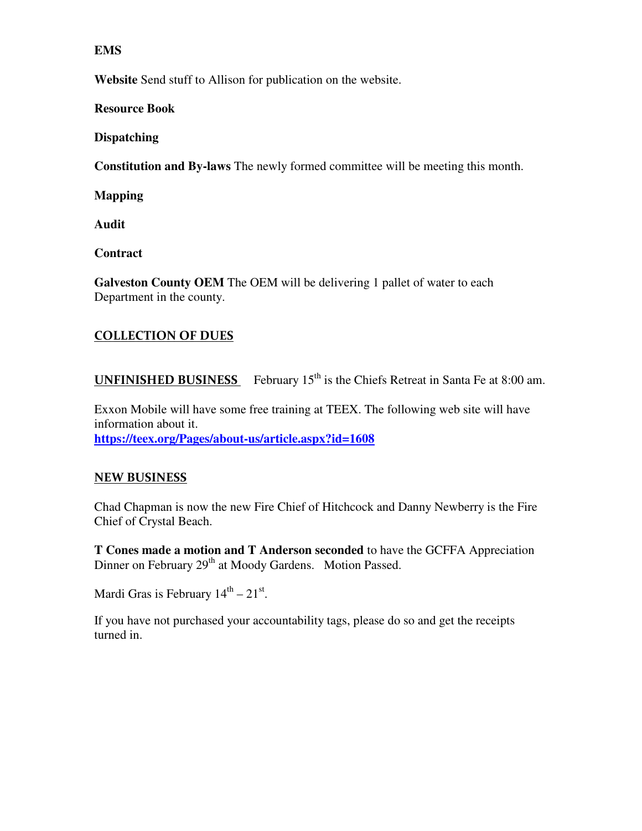#### **EMS**

**Website** Send stuff to Allison for publication on the website.

**Resource Book** 

**Dispatching** 

**Constitution and By-laws** The newly formed committee will be meeting this month.

**Mapping** 

**Audit** 

**Contract** 

**Galveston County OEM** The OEM will be delivering 1 pallet of water to each Department in the county.

#### **COLLECTION OF DUES**

**UNFINISHED BUSINESS** February  $15<sup>th</sup>$  is the Chiefs Retreat in Santa Fe at 8:00 am.

Exxon Mobile will have some free training at TEEX. The following web site will have information about it. **https://teex.org/Pages/about-us/article.aspx?id=1608**

#### **NEW BUSINESS**

Chad Chapman is now the new Fire Chief of Hitchcock and Danny Newberry is the Fire Chief of Crystal Beach.

**T Cones made a motion and T Anderson seconded** to have the GCFFA Appreciation Dinner on February 29<sup>th</sup> at Moody Gardens. Motion Passed.

Mardi Gras is February  $14<sup>th</sup> - 21<sup>st</sup>$ .

If you have not purchased your accountability tags, please do so and get the receipts turned in.